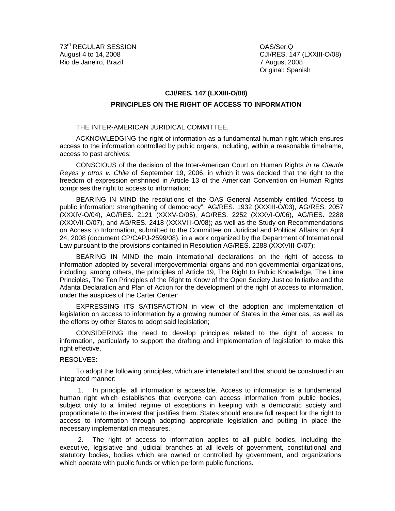CJI/RES. 147 (LXXIII-O/08) Original: Spanish

## **CJI/RES. 147 (LXXIII-O/08)**

## **PRINCIPLES ON THE RIGHT OF ACCESS TO INFORMATION**

## THE INTER-AMERICAN JURIDICAL COMMITTEE,

ACKNOWLEDGING the right of information as a fundamental human right which ensures access to the information controlled by public organs, including, within a reasonable timeframe, access to past archives;

CONSCIOUS of the decision of the Inter-American Court on Human Rights in re Claude Reyes y otros v. Chile of September 19, 2006, in which it was decided that the right to the freedom of expression enshrined in Article 13 of the American Convention on Human Rights comprises the right to access to information;

BEARING IN MIND the resolutions of the OAS General Assembly entitled "Access to public information: strengthening of democracy", AG/RES. 1932 (XXXIII-O/03), AG/RES. 2057 (XXXIV-O/04), AG/RES. 2121 (XXXV-O/05), AG/RES. 2252 (XXXVI-O/06), AG/RES. 2288 (XXXVII-O/07), and AG/RES. 2418 (XXXVIII-O/08); as well as the Study on Recommendations on Access to Information, submitted to the Committee on Juridical and Political Affairs on April 24, 2008 (document CP/CAPJ-2599/08), in a work organized by the Department of International Law pursuant to the provisions contained in Resolution AG/RES. 2288 (XXXVIII-O/07);

BEARING IN MIND the main international declarations on the right of access to information adopted by several intergovernmental organs and non-governmental organizations, including, among others, the principles of Article 19, The Right to Public Knowledge, The Lima Principles, The Ten Principles of the Right to Know of the Open Society Justice Initiative and the Atlanta Declaration and Plan of Action for the development of the right of access to information, under the auspices of the Carter Center;

EXPRESSING ITS SATISFACTION in view of the adoption and implementation of legislation on access to information by a growing number of States in the Americas, as well as the efforts by other States to adopt said legislation;

CONSIDERING the need to develop principles related to the right of access to information, particularly to support the drafting and implementation of legislation to make this right effective,

## RESOLVES:

To adopt the following principles, which are interrelated and that should be construed in an integrated manner:

1. In principle, all information is accessible. Access to information is a fundamental human right which establishes that everyone can access information from public bodies, subject only to a limited regime of exceptions in keeping with a democratic society and proportionate to the interest that justifies them. States should ensure full respect for the right to access to information through adopting appropriate legislation and putting in place the necessary implementation measures.

2. The right of access to information applies to all public bodies, including the executive, legislative and judicial branches at all levels of government, constitutional and statutory bodies, bodies which are owned or controlled by government, and organizations which operate with public funds or which perform public functions.